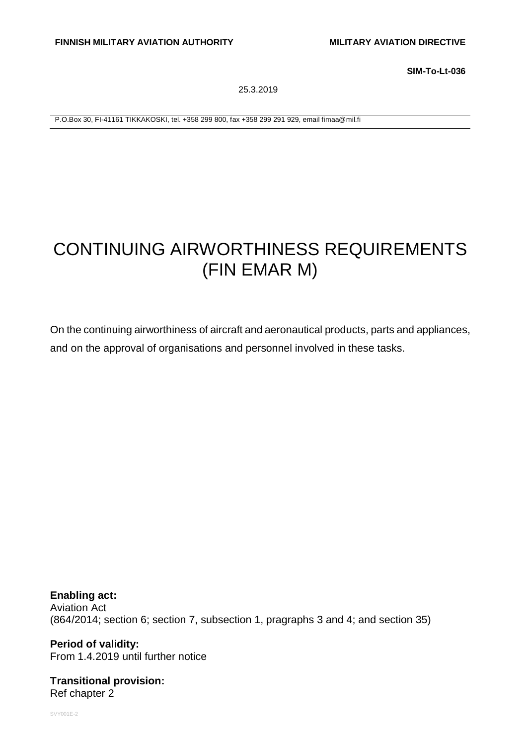**SIM-To-Lt-036**

25.3.2019

P.O.Box 30, FI-41161 TIKKAKOSKI, tel. +358 299 800, fax +358 299 291 929, email fimaa@mil.fi

# CONTINUING AIRWORTHINESS REQUIREMENTS (FIN EMAR M)

On the continuing airworthiness of aircraft and aeronautical products, parts and appliances, and on the approval of organisations and personnel involved in these tasks.

**Enabling act:** Aviation Act (864/2014; section 6; section 7, subsection 1, pragraphs 3 and 4; and section 35)

**Period of validity:** From 1.4.2019 until further notice

**Transitional provision:** Ref chapter 2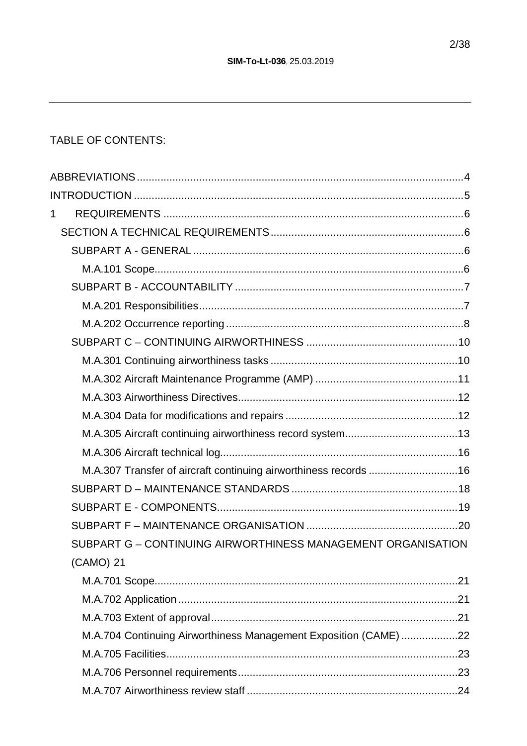## TABLE OF CONTENTS:

| M.A.307 Transfer of aircraft continuing airworthiness records 16 |
|------------------------------------------------------------------|
|                                                                  |
|                                                                  |
|                                                                  |
| SUBPART G - CONTINUING AIRWORTHINESS MANAGEMENT ORGANISATION     |
|                                                                  |
|                                                                  |
|                                                                  |
|                                                                  |
| M.A.704 Continuing Airworthiness Management Exposition (CAME) 22 |
|                                                                  |
|                                                                  |
|                                                                  |
|                                                                  |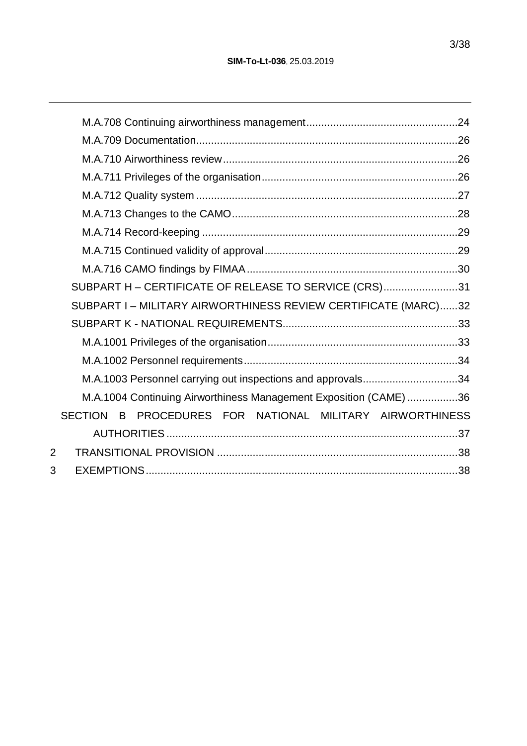|                | SUBPART H - CERTIFICATE OF RELEASE TO SERVICE (CRS)31             |  |
|----------------|-------------------------------------------------------------------|--|
|                | SUBPART I - MILITARY AIRWORTHINESS REVIEW CERTIFICATE (MARC)32    |  |
|                |                                                                   |  |
|                |                                                                   |  |
|                |                                                                   |  |
|                | M.A.1003 Personnel carrying out inspections and approvals34       |  |
|                | M.A.1004 Continuing Airworthiness Management Exposition (CAME) 36 |  |
|                | PROCEDURES FOR NATIONAL MILITARY AIRWORTHINESS<br>SECTION B       |  |
|                |                                                                   |  |
| $\overline{2}$ |                                                                   |  |
| 3              |                                                                   |  |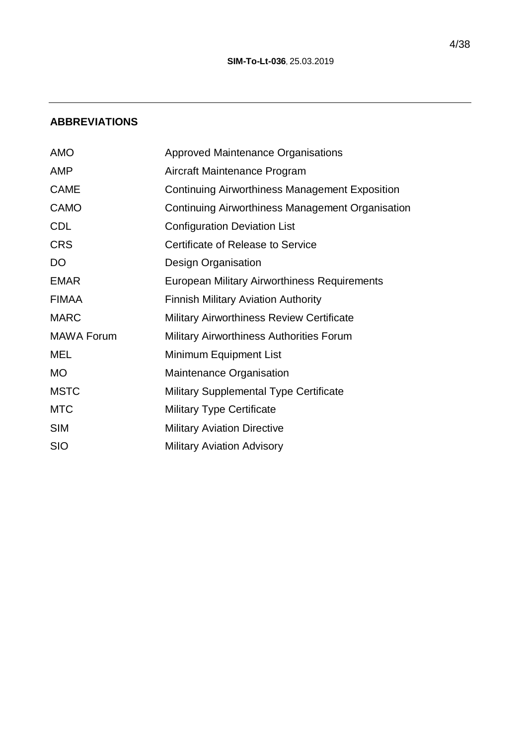## **ABBREVIATIONS**

| <b>AMO</b>        | <b>Approved Maintenance Organisations</b>             |
|-------------------|-------------------------------------------------------|
| <b>AMP</b>        | Aircraft Maintenance Program                          |
| <b>CAME</b>       | <b>Continuing Airworthiness Management Exposition</b> |
| <b>CAMO</b>       | Continuing Airworthiness Management Organisation      |
| <b>CDL</b>        | <b>Configuration Deviation List</b>                   |
| <b>CRS</b>        | Certificate of Release to Service                     |
| <b>DO</b>         | Design Organisation                                   |
| <b>EMAR</b>       | European Military Airworthiness Requirements          |
| <b>FIMAA</b>      | <b>Finnish Military Aviation Authority</b>            |
| <b>MARC</b>       | <b>Military Airworthiness Review Certificate</b>      |
| <b>MAWA Forum</b> | <b>Military Airworthiness Authorities Forum</b>       |
| MEL               | Minimum Equipment List                                |
| <b>MO</b>         | Maintenance Organisation                              |
| <b>MSTC</b>       | <b>Military Supplemental Type Certificate</b>         |
| <b>MTC</b>        | <b>Military Type Certificate</b>                      |
| <b>SIM</b>        | <b>Military Aviation Directive</b>                    |
| <b>SIO</b>        | <b>Military Aviation Advisory</b>                     |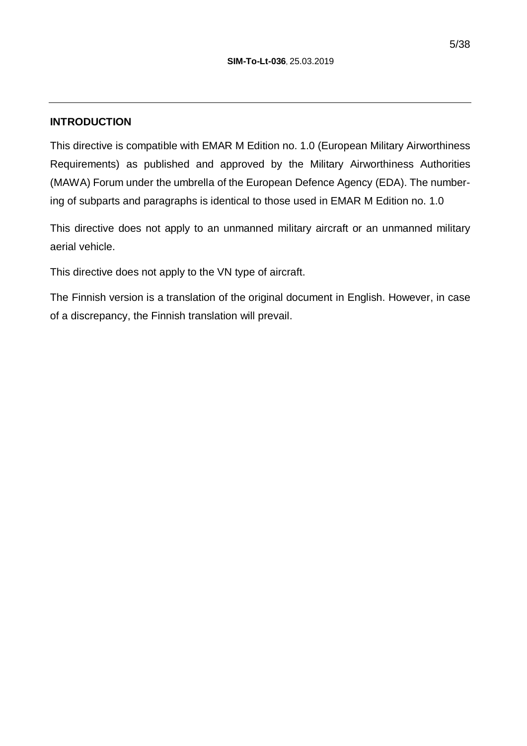#### **INTRODUCTION**

This directive is compatible with EMAR M Edition no. 1.0 (European Military Airworthiness Requirements) as published and approved by the Military Airworthiness Authorities (MAWA) Forum under the umbrella of the European Defence Agency (EDA). The numbering of subparts and paragraphs is identical to those used in EMAR M Edition no. 1.0

This directive does not apply to an unmanned military aircraft or an unmanned military aerial vehicle.

This directive does not apply to the VN type of aircraft.

The Finnish version is a translation of the original document in English. However, in case of a discrepancy, the Finnish translation will prevail.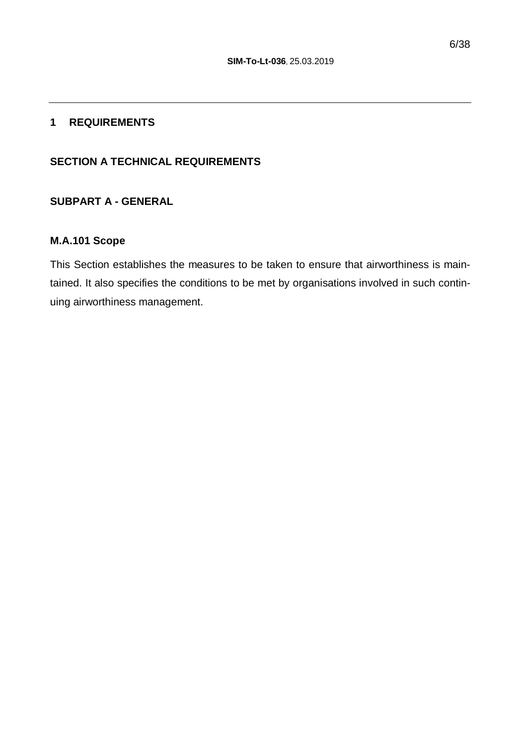#### **1 REQUIREMENTS**

#### **SECTION A TECHNICAL REQUIREMENTS**

## **SUBPART A - GENERAL**

#### **M.A.101 Scope**

This Section establishes the measures to be taken to ensure that airworthiness is maintained. It also specifies the conditions to be met by organisations involved in such continuing airworthiness management.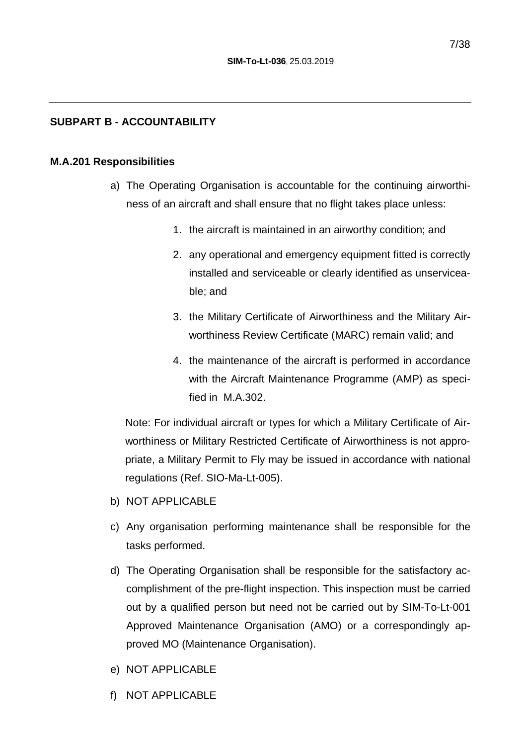#### **SUBPART B - ACCOUNTABILITY**

#### **M.A.201 Responsibilities**

- a) The Operating Organisation is accountable for the continuing airworthiness of an aircraft and shall ensure that no flight takes place unless:
	- 1. the aircraft is maintained in an airworthy condition; and
	- 2. any operational and emergency equipment fitted is correctly installed and serviceable or clearly identified as unserviceable; and
	- 3. the Military Certificate of Airworthiness and the Military Airworthiness Review Certificate (MARC) remain valid; and
	- 4. the maintenance of the aircraft is performed in accordance with the Aircraft Maintenance Programme (AMP) as specified in M.A.302.

Note: For individual aircraft or types for which a Military Certificate of Airworthiness or Military Restricted Certificate of Airworthiness is not appropriate, a Military Permit to Fly may be issued in accordance with national regulations (Ref. SIO-Ma-Lt-005).

- b) NOT APPLICABLE
- c) Any organisation performing maintenance shall be responsible for the tasks performed.
- d) The Operating Organisation shall be responsible for the satisfactory accomplishment of the pre-flight inspection. This inspection must be carried out by a qualified person but need not be carried out by SIM-To-Lt-001 Approved Maintenance Organisation (AMO) or a correspondingly approved MO (Maintenance Organisation).
- e) NOT APPLICABLE
- f) NOT APPLICABLE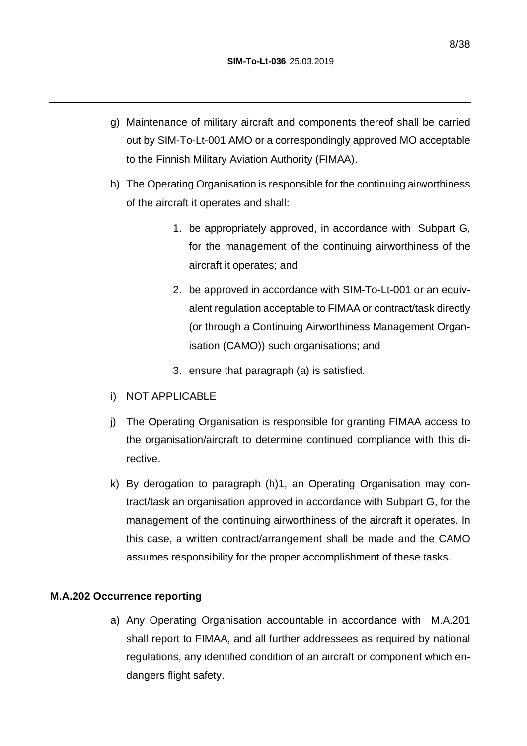- g) Maintenance of military aircraft and components thereof shall be carried out by SIM-To-Lt-001 AMO or a correspondingly approved MO acceptable to the Finnish Military Aviation Authority (FIMAA).
- h) The Operating Organisation is responsible for the continuing airworthiness of the aircraft it operates and shall:
	- 1. be appropriately approved, in accordance with Subpart G, for the management of the continuing airworthiness of the aircraft it operates; and
	- 2. be approved in accordance with SIM-To-Lt-001 or an equivalent regulation acceptable to FIMAA or contract/task directly (or through a Continuing Airworthiness Management Organisation (CAMO)) such organisations; and
	- 3. ensure that paragraph (a) is satisfied.
- i) NOT APPLICABLE
- j) The Operating Organisation is responsible for granting FIMAA access to the organisation/aircraft to determine continued compliance with this directive.
- k) By derogation to paragraph (h)1, an Operating Organisation may contract/task an organisation approved in accordance with Subpart G, for the management of the continuing airworthiness of the aircraft it operates. In this case, a written contract/arrangement shall be made and the CAMO assumes responsibility for the proper accomplishment of these tasks.

#### **M.A.202 Occurrence reporting**

a) Any Operating Organisation accountable in accordance with M.A.201 shall report to FIMAA, and all further addressees as required by national regulations, any identified condition of an aircraft or component which endangers flight safety.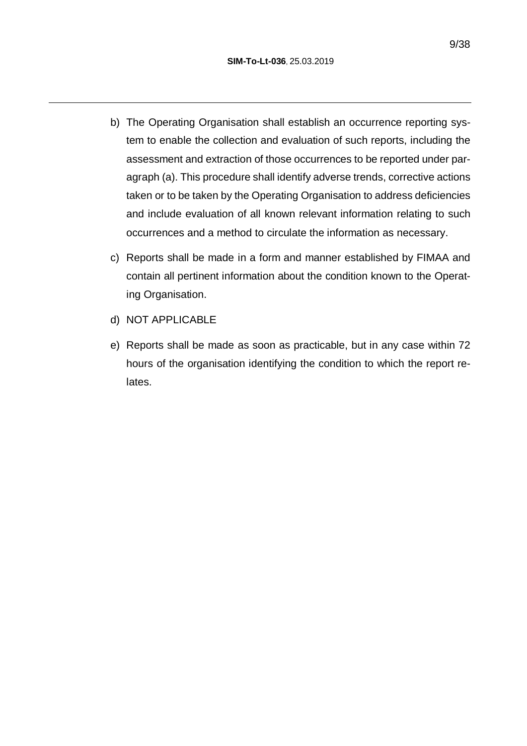- b) The Operating Organisation shall establish an occurrence reporting system to enable the collection and evaluation of such reports, including the assessment and extraction of those occurrences to be reported under paragraph (a). This procedure shall identify adverse trends, corrective actions taken or to be taken by the Operating Organisation to address deficiencies and include evaluation of all known relevant information relating to such occurrences and a method to circulate the information as necessary.
- c) Reports shall be made in a form and manner established by FIMAA and contain all pertinent information about the condition known to the Operating Organisation.
- d) NOT APPLICABLE
- e) Reports shall be made as soon as practicable, but in any case within 72 hours of the organisation identifying the condition to which the report relates.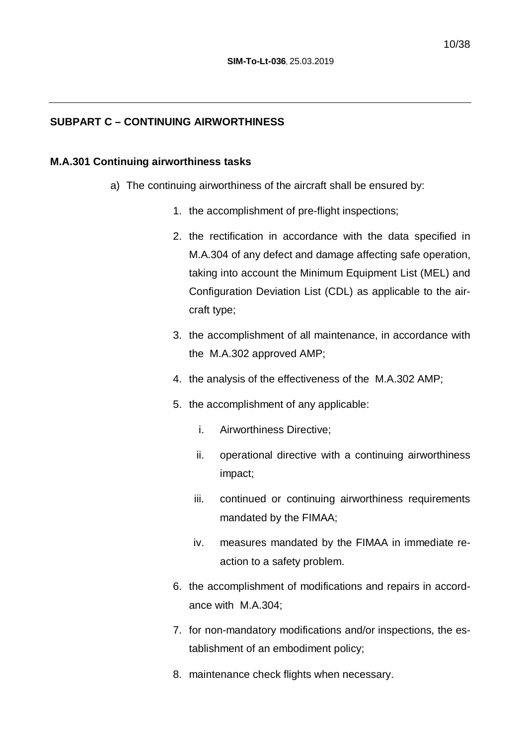## **SUBPART C – CONTINUING AIRWORTHINESS**

## **M.A.301 Continuing airworthiness tasks**

- a) The continuing airworthiness of the aircraft shall be ensured by:
	- 1. the accomplishment of pre-flight inspections;
	- 2. the rectification in accordance with the data specified in M.A.304 of any defect and damage affecting safe operation, taking into account the Minimum Equipment List (MEL) and Configuration Deviation List (CDL) as applicable to the aircraft type;
	- 3. the accomplishment of all maintenance, in accordance with the M.A.302 approved AMP;
	- 4. the analysis of the effectiveness of the M.A.302 AMP;
	- 5. the accomplishment of any applicable:
		- i. Airworthiness Directive;
		- ii. operational directive with a continuing airworthiness impact;
		- iii. continued or continuing airworthiness requirements mandated by the FIMAA;
		- iv. measures mandated by the FIMAA in immediate reaction to a safety problem.
	- 6. the accomplishment of modifications and repairs in accordance with M.A.304;
	- 7. for non-mandatory modifications and/or inspections, the establishment of an embodiment policy;
	- 8. maintenance check flights when necessary.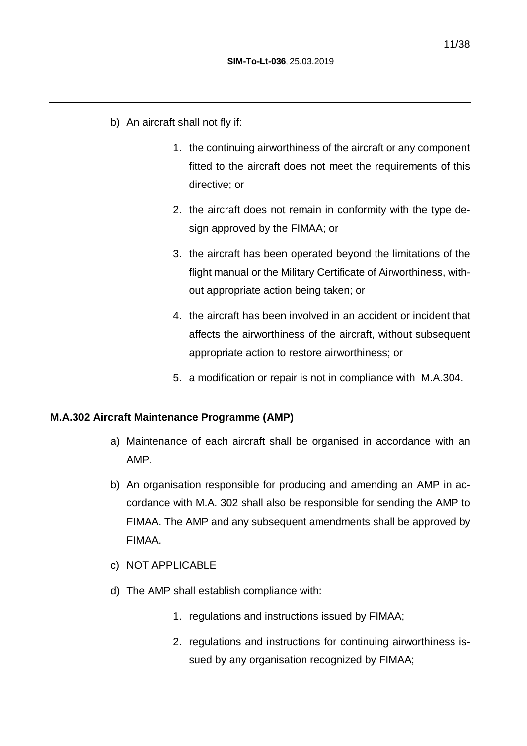- b) An aircraft shall not fly if:
	- 1. the continuing airworthiness of the aircraft or any component fitted to the aircraft does not meet the requirements of this directive; or
	- 2. the aircraft does not remain in conformity with the type design approved by the FIMAA; or
	- 3. the aircraft has been operated beyond the limitations of the flight manual or the Military Certificate of Airworthiness, without appropriate action being taken; or
	- 4. the aircraft has been involved in an accident or incident that affects the airworthiness of the aircraft, without subsequent appropriate action to restore airworthiness; or
	- 5. a modification or repair is not in compliance with M.A.304.

#### **M.A.302 Aircraft Maintenance Programme (AMP)**

- a) Maintenance of each aircraft shall be organised in accordance with an AMP.
- b) An organisation responsible for producing and amending an AMP in accordance with M.A. 302 shall also be responsible for sending the AMP to FIMAA. The AMP and any subsequent amendments shall be approved by FIMAA.
- c) NOT APPLICABLE
- d) The AMP shall establish compliance with:
	- 1. regulations and instructions issued by FIMAA;
	- 2. regulations and instructions for continuing airworthiness issued by any organisation recognized by FIMAA;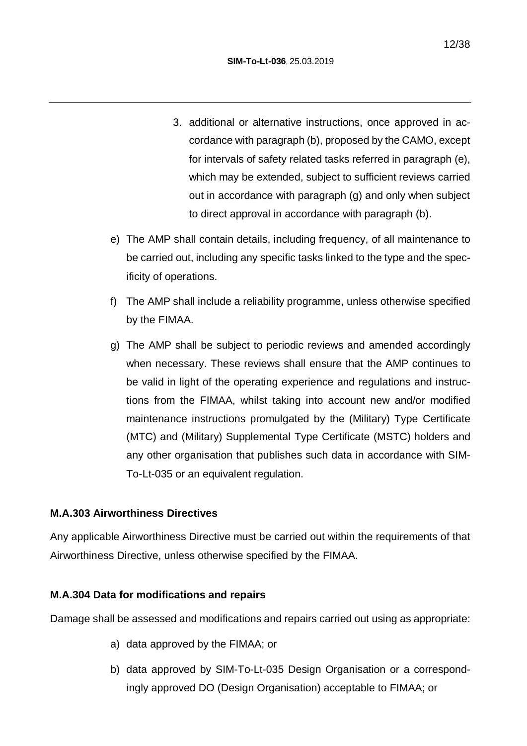- 3. additional or alternative instructions, once approved in accordance with paragraph (b), proposed by the CAMO, except for intervals of safety related tasks referred in paragraph (e), which may be extended, subject to sufficient reviews carried out in accordance with paragraph (g) and only when subject to direct approval in accordance with paragraph (b).
- e) The AMP shall contain details, including frequency, of all maintenance to be carried out, including any specific tasks linked to the type and the specificity of operations.
- f) The AMP shall include a reliability programme, unless otherwise specified by the FIMAA.
- g) The AMP shall be subject to periodic reviews and amended accordingly when necessary. These reviews shall ensure that the AMP continues to be valid in light of the operating experience and regulations and instructions from the FIMAA, whilst taking into account new and/or modified maintenance instructions promulgated by the (Military) Type Certificate (MTC) and (Military) Supplemental Type Certificate (MSTC) holders and any other organisation that publishes such data in accordance with SIM-To-Lt-035 or an equivalent regulation.

## **M.A.303 Airworthiness Directives**

Any applicable Airworthiness Directive must be carried out within the requirements of that Airworthiness Directive, unless otherwise specified by the FIMAA.

#### **M.A.304 Data for modifications and repairs**

Damage shall be assessed and modifications and repairs carried out using as appropriate:

- a) data approved by the FIMAA; or
- b) data approved by SIM-To-Lt-035 Design Organisation or a correspondingly approved DO (Design Organisation) acceptable to FIMAA; or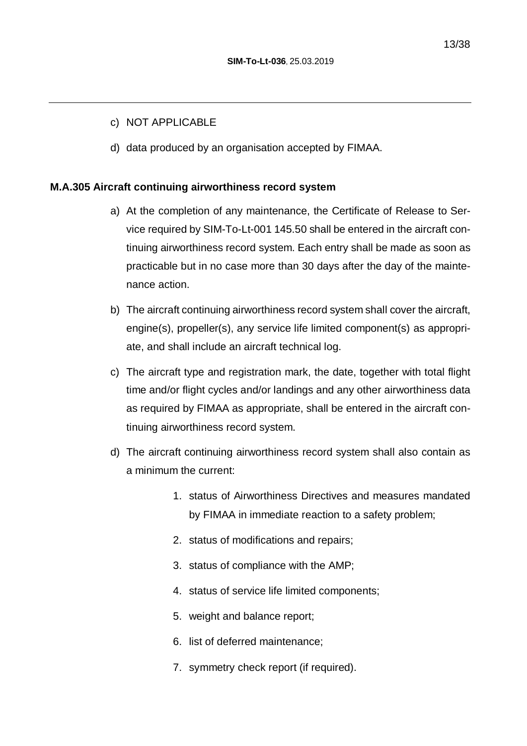#### c) NOT APPLICABLE

d) data produced by an organisation accepted by FIMAA.

#### **M.A.305 Aircraft continuing airworthiness record system**

- a) At the completion of any maintenance, the Certificate of Release to Service required by SIM-To-Lt-001 145.50 shall be entered in the aircraft continuing airworthiness record system. Each entry shall be made as soon as practicable but in no case more than 30 days after the day of the maintenance action.
- b) The aircraft continuing airworthiness record system shall cover the aircraft, engine(s), propeller(s), any service life limited component(s) as appropriate, and shall include an aircraft technical log.
- c) The aircraft type and registration mark, the date, together with total flight time and/or flight cycles and/or landings and any other airworthiness data as required by FIMAA as appropriate, shall be entered in the aircraft continuing airworthiness record system.
- d) The aircraft continuing airworthiness record system shall also contain as a minimum the current:
	- 1. status of Airworthiness Directives and measures mandated by FIMAA in immediate reaction to a safety problem;
	- 2. status of modifications and repairs;
	- 3. status of compliance with the AMP;
	- 4. status of service life limited components;
	- 5. weight and balance report;
	- 6. list of deferred maintenance;
	- 7. symmetry check report (if required).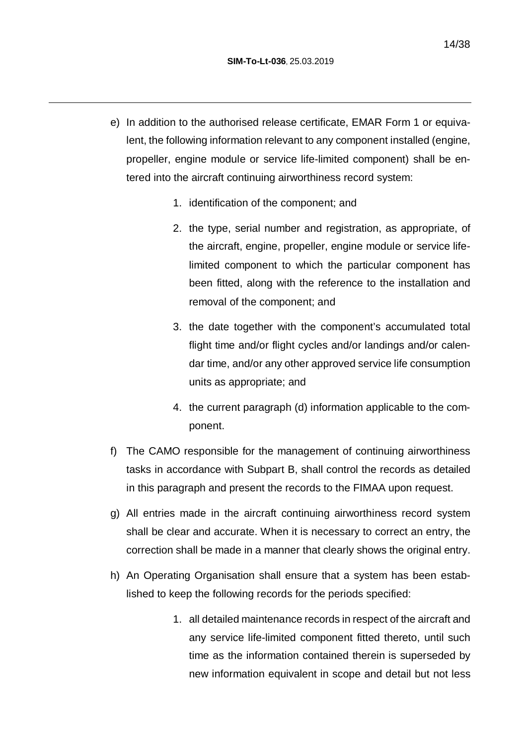- e) In addition to the authorised release certificate, EMAR Form 1 or equivalent, the following information relevant to any component installed (engine, propeller, engine module or service life-limited component) shall be entered into the aircraft continuing airworthiness record system:
	- 1. identification of the component; and
	- 2. the type, serial number and registration, as appropriate, of the aircraft, engine, propeller, engine module or service lifelimited component to which the particular component has been fitted, along with the reference to the installation and removal of the component; and
	- 3. the date together with the component's accumulated total flight time and/or flight cycles and/or landings and/or calendar time, and/or any other approved service life consumption units as appropriate; and
	- 4. the current paragraph (d) information applicable to the component.
- f) The CAMO responsible for the management of continuing airworthiness tasks in accordance with Subpart B, shall control the records as detailed in this paragraph and present the records to the FIMAA upon request.
- g) All entries made in the aircraft continuing airworthiness record system shall be clear and accurate. When it is necessary to correct an entry, the correction shall be made in a manner that clearly shows the original entry.
- h) An Operating Organisation shall ensure that a system has been established to keep the following records for the periods specified:
	- 1. all detailed maintenance records in respect of the aircraft and any service life-limited component fitted thereto, until such time as the information contained therein is superseded by new information equivalent in scope and detail but not less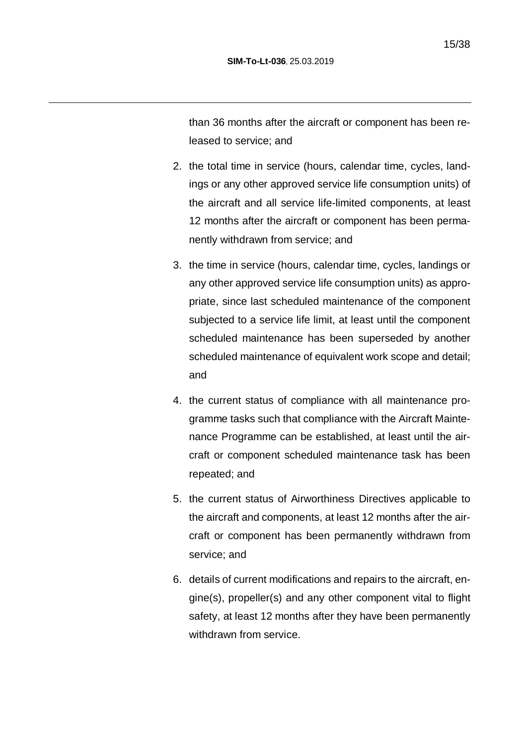than 36 months after the aircraft or component has been released to service; and

- 2. the total time in service (hours, calendar time, cycles, landings or any other approved service life consumption units) of the aircraft and all service life-limited components, at least 12 months after the aircraft or component has been permanently withdrawn from service; and
- 3. the time in service (hours, calendar time, cycles, landings or any other approved service life consumption units) as appropriate, since last scheduled maintenance of the component subjected to a service life limit, at least until the component scheduled maintenance has been superseded by another scheduled maintenance of equivalent work scope and detail; and
- 4. the current status of compliance with all maintenance programme tasks such that compliance with the Aircraft Maintenance Programme can be established, at least until the aircraft or component scheduled maintenance task has been repeated; and
- 5. the current status of Airworthiness Directives applicable to the aircraft and components, at least 12 months after the aircraft or component has been permanently withdrawn from service; and
- 6. details of current modifications and repairs to the aircraft, engine(s), propeller(s) and any other component vital to flight safety, at least 12 months after they have been permanently withdrawn from service.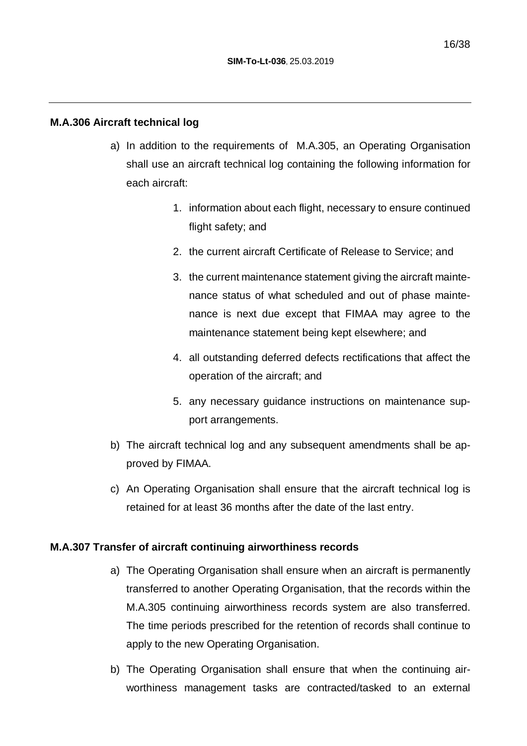#### **M.A.306 Aircraft technical log**

- a) In addition to the requirements of M.A.305, an Operating Organisation shall use an aircraft technical log containing the following information for each aircraft:
	- 1. information about each flight, necessary to ensure continued flight safety; and
	- 2. the current aircraft Certificate of Release to Service; and
	- 3. the current maintenance statement giving the aircraft maintenance status of what scheduled and out of phase maintenance is next due except that FIMAA may agree to the maintenance statement being kept elsewhere; and
	- 4. all outstanding deferred defects rectifications that affect the operation of the aircraft; and
	- 5. any necessary guidance instructions on maintenance support arrangements.
- b) The aircraft technical log and any subsequent amendments shall be approved by FIMAA.
- c) An Operating Organisation shall ensure that the aircraft technical log is retained for at least 36 months after the date of the last entry.

#### **M.A.307 Transfer of aircraft continuing airworthiness records**

- a) The Operating Organisation shall ensure when an aircraft is permanently transferred to another Operating Organisation, that the records within the M.A.305 continuing airworthiness records system are also transferred. The time periods prescribed for the retention of records shall continue to apply to the new Operating Organisation.
- b) The Operating Organisation shall ensure that when the continuing airworthiness management tasks are contracted/tasked to an external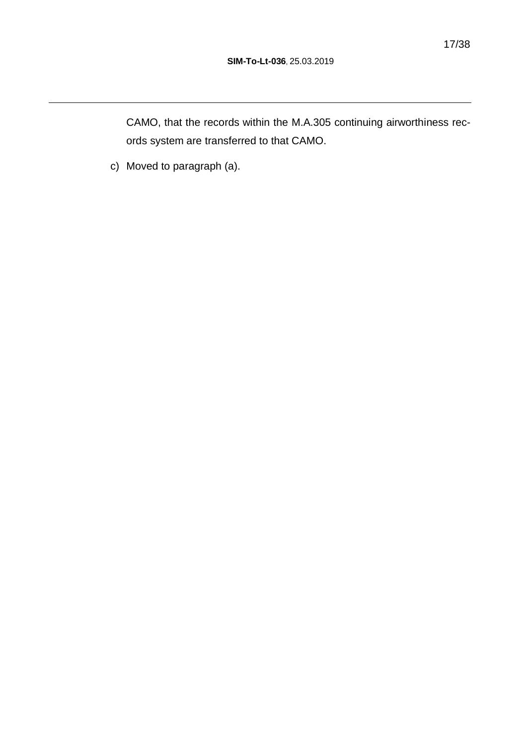CAMO, that the records within the M.A.305 continuing airworthiness records system are transferred to that CAMO.

c) Moved to paragraph (a).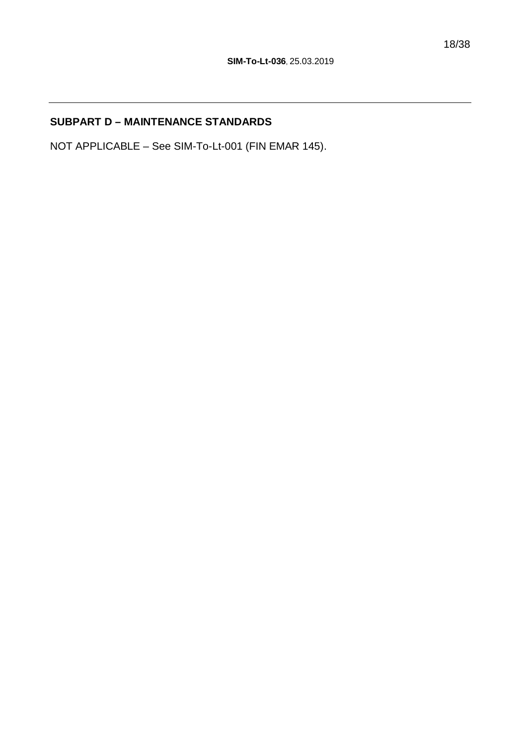## **SUBPART D – MAINTENANCE STANDARDS**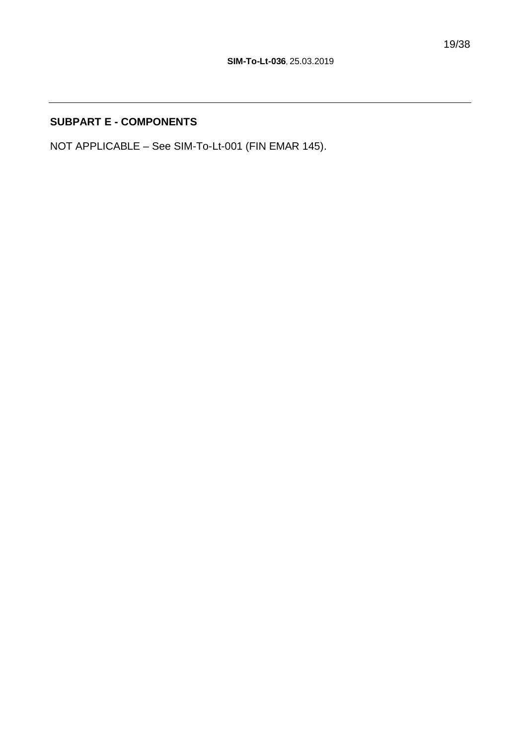### **SUBPART E - COMPONENTS**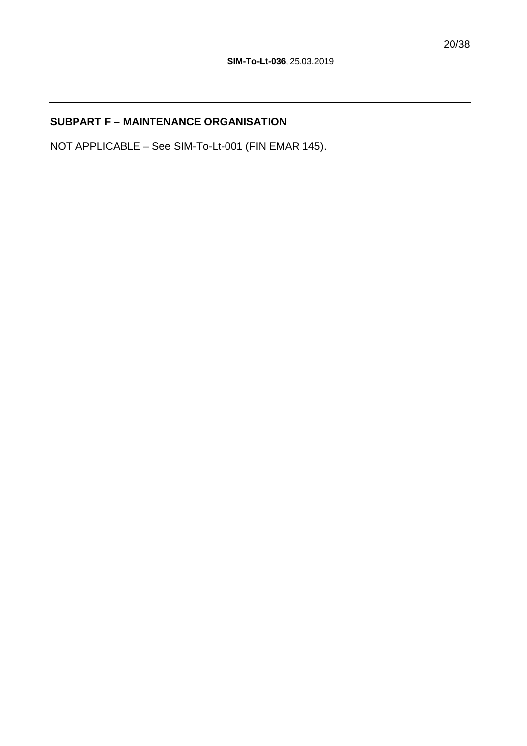## **SUBPART F – MAINTENANCE ORGANISATION**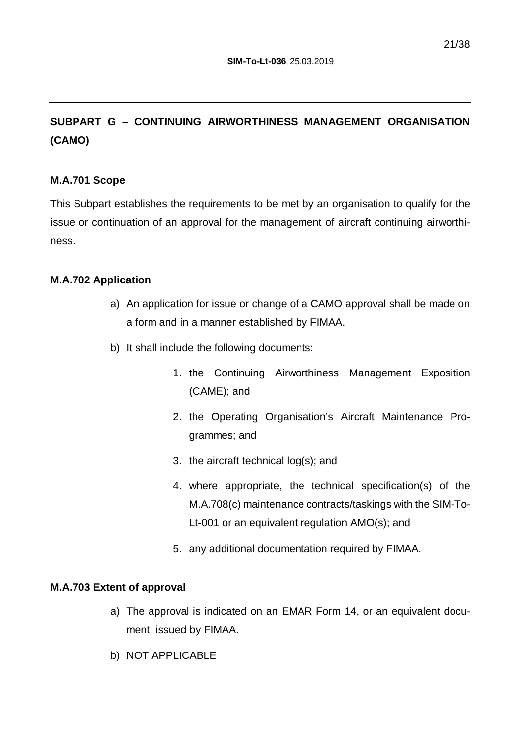## **SUBPART G – CONTINUING AIRWORTHINESS MANAGEMENT ORGANISATION (CAMO)**

#### **M.A.701 Scope**

This Subpart establishes the requirements to be met by an organisation to qualify for the issue or continuation of an approval for the management of aircraft continuing airworthiness.

#### **M.A.702 Application**

- a) An application for issue or change of a CAMO approval shall be made on a form and in a manner established by FIMAA.
- b) It shall include the following documents:
	- 1. the Continuing Airworthiness Management Exposition (CAME); and
	- 2. the Operating Organisation's Aircraft Maintenance Programmes; and
	- 3. the aircraft technical log(s); and
	- 4. where appropriate, the technical specification(s) of the M.A.708(c) maintenance contracts/taskings with the SIM-To-Lt-001 or an equivalent regulation AMO(s); and
	- 5. any additional documentation required by FIMAA.

#### **M.A.703 Extent of approval**

- a) The approval is indicated on an EMAR Form 14, or an equivalent document, issued by FIMAA.
- b) NOT APPLICABLE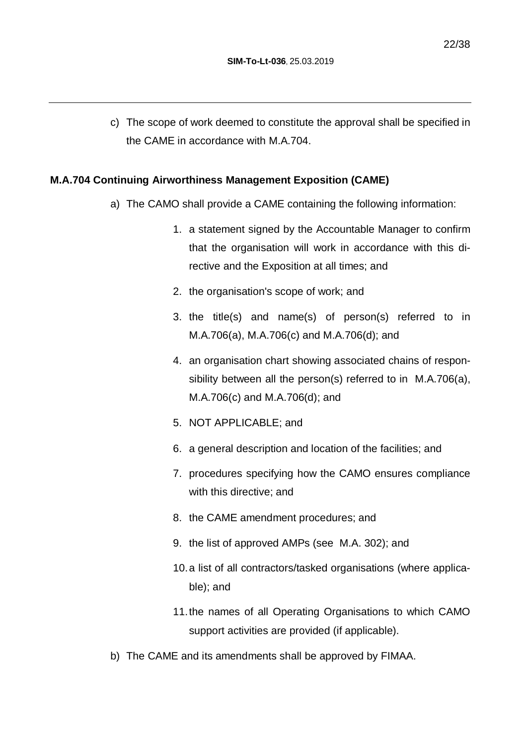c) The scope of work deemed to constitute the approval shall be specified in the CAME in accordance with M.A.704.

#### **M.A.704 Continuing Airworthiness Management Exposition (CAME)**

- a) The CAMO shall provide a CAME containing the following information:
	- 1. a statement signed by the Accountable Manager to confirm that the organisation will work in accordance with this directive and the Exposition at all times; and
	- 2. the organisation's scope of work; and
	- 3. the title(s) and name(s) of person(s) referred to in M.A.706(a), M.A.706(c) and M.A.706(d); and
	- 4. an organisation chart showing associated chains of responsibility between all the person(s) referred to in M.A.706(a), M.A.706(c) and M.A.706(d); and
	- 5. NOT APPLICABLE; and
	- 6. a general description and location of the facilities; and
	- 7. procedures specifying how the CAMO ensures compliance with this directive; and
	- 8. the CAME amendment procedures; and
	- 9. the list of approved AMPs (see M.A. 302); and
	- 10. a list of all contractors/tasked organisations (where applicable); and
	- 11. the names of all Operating Organisations to which CAMO support activities are provided (if applicable).
- b) The CAME and its amendments shall be approved by FIMAA.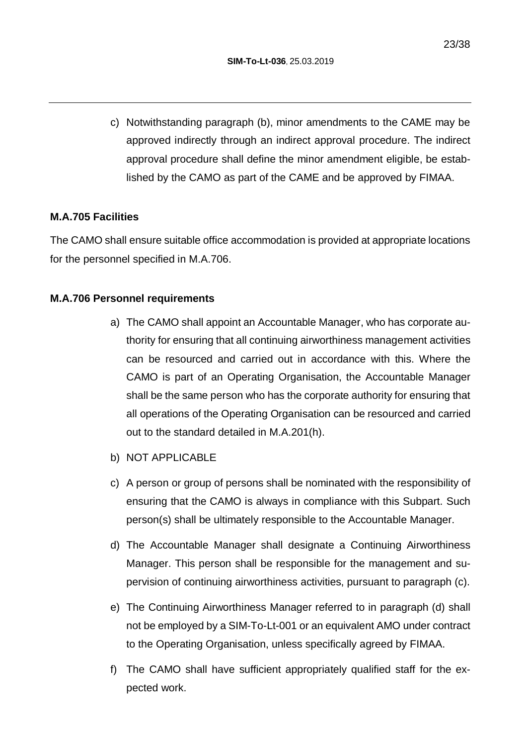c) Notwithstanding paragraph (b), minor amendments to the CAME may be approved indirectly through an indirect approval procedure. The indirect approval procedure shall define the minor amendment eligible, be established by the CAMO as part of the CAME and be approved by FIMAA.

#### **M.A.705 Facilities**

The CAMO shall ensure suitable office accommodation is provided at appropriate locations for the personnel specified in M.A.706.

#### **M.A.706 Personnel requirements**

- a) The CAMO shall appoint an Accountable Manager, who has corporate authority for ensuring that all continuing airworthiness management activities can be resourced and carried out in accordance with this. Where the CAMO is part of an Operating Organisation, the Accountable Manager shall be the same person who has the corporate authority for ensuring that all operations of the Operating Organisation can be resourced and carried out to the standard detailed in M.A.201(h).
- b) NOT APPLICABLE
- c) A person or group of persons shall be nominated with the responsibility of ensuring that the CAMO is always in compliance with this Subpart. Such person(s) shall be ultimately responsible to the Accountable Manager.
- d) The Accountable Manager shall designate a Continuing Airworthiness Manager. This person shall be responsible for the management and supervision of continuing airworthiness activities, pursuant to paragraph (c).
- e) The Continuing Airworthiness Manager referred to in paragraph (d) shall not be employed by a SIM-To-Lt-001 or an equivalent AMO under contract to the Operating Organisation, unless specifically agreed by FIMAA.
- f) The CAMO shall have sufficient appropriately qualified staff for the expected work.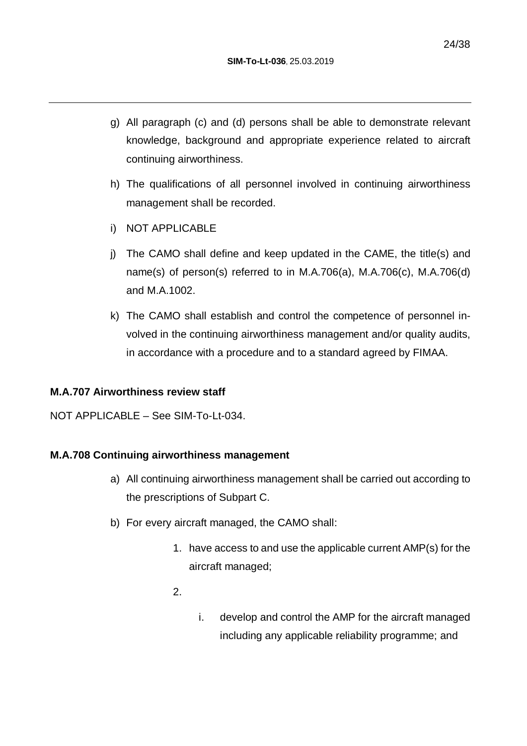- g) All paragraph (c) and (d) persons shall be able to demonstrate relevant knowledge, background and appropriate experience related to aircraft continuing airworthiness.
- h) The qualifications of all personnel involved in continuing airworthiness management shall be recorded.
- i) NOT APPLICABLE
- j) The CAMO shall define and keep updated in the CAME, the title(s) and name(s) of person(s) referred to in M.A.706(a), M.A.706(c), M.A.706(d) and M.A.1002.
- k) The CAMO shall establish and control the competence of personnel involved in the continuing airworthiness management and/or quality audits, in accordance with a procedure and to a standard agreed by FIMAA.

#### **M.A.707 Airworthiness review staff**

NOT APPLICABLE – See SIM-To-Lt-034.

#### **M.A.708 Continuing airworthiness management**

- a) All continuing airworthiness management shall be carried out according to the prescriptions of Subpart C.
- b) For every aircraft managed, the CAMO shall:
	- 1. have access to and use the applicable current AMP(s) for the aircraft managed;
	- 2.
- i. develop and control the AMP for the aircraft managed including any applicable reliability programme; and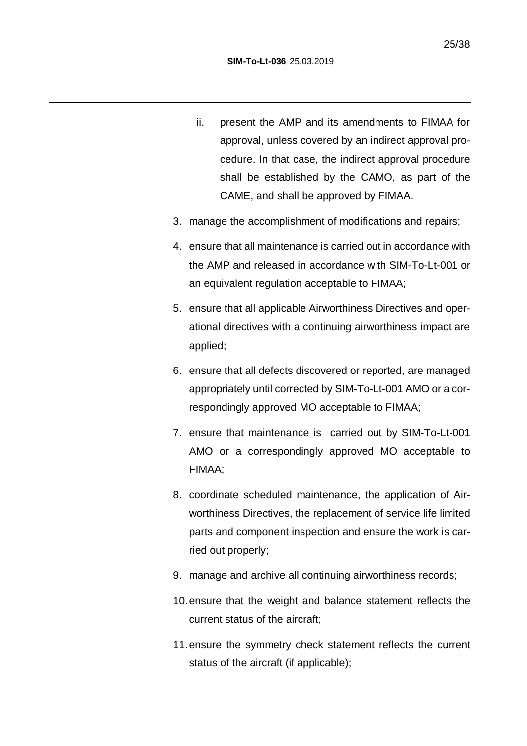- ii. present the AMP and its amendments to FIMAA for approval, unless covered by an indirect approval procedure. In that case, the indirect approval procedure shall be established by the CAMO, as part of the CAME, and shall be approved by FIMAA.
- 3. manage the accomplishment of modifications and repairs;
- 4. ensure that all maintenance is carried out in accordance with the AMP and released in accordance with SIM-To-Lt-001 or an equivalent regulation acceptable to FIMAA;
- 5. ensure that all applicable Airworthiness Directives and operational directives with a continuing airworthiness impact are applied;
- 6. ensure that all defects discovered or reported, are managed appropriately until corrected by SIM-To-Lt-001 AMO or a correspondingly approved MO acceptable to FIMAA;
- 7. ensure that maintenance is carried out by SIM-To-Lt-001 AMO or a correspondingly approved MO acceptable to FIMAA;
- 8. coordinate scheduled maintenance, the application of Airworthiness Directives, the replacement of service life limited parts and component inspection and ensure the work is carried out properly;
- 9. manage and archive all continuing airworthiness records;
- 10. ensure that the weight and balance statement reflects the current status of the aircraft;
- 11. ensure the symmetry check statement reflects the current status of the aircraft (if applicable);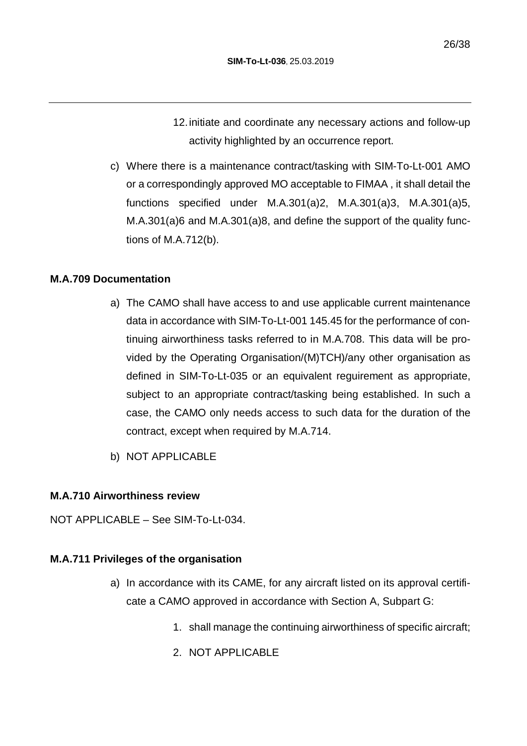12. initiate and coordinate any necessary actions and follow-up activity highlighted by an occurrence report.

c) Where there is a maintenance contract/tasking with SIM-To-Lt-001 AMO or a correspondingly approved MO acceptable to FIMAA , it shall detail the functions specified under M.A.301(a)2, M.A.301(a)3, M.A.301(a)5, M.A.301(a)6 and M.A.301(a)8, and define the support of the quality functions of M.A.712(b).

#### **M.A.709 Documentation**

- a) The CAMO shall have access to and use applicable current maintenance data in accordance with SIM-To-Lt-001 145.45 for the performance of continuing airworthiness tasks referred to in M.A.708. This data will be provided by the Operating Organisation/(M)TCH)/any other organisation as defined in SIM-To-Lt-035 or an equivalent reguirement as appropriate, subject to an appropriate contract/tasking being established. In such a case, the CAMO only needs access to such data for the duration of the contract, except when required by M.A.714.
- b) NOT APPLICABLE

#### **M.A.710 Airworthiness review**

NOT APPLICABLE – See SIM-To-Lt-034.

#### **M.A.711 Privileges of the organisation**

- a) In accordance with its CAME, for any aircraft listed on its approval certificate a CAMO approved in accordance with Section A, Subpart G:
	- 1. shall manage the continuing airworthiness of specific aircraft;
	- 2. NOT APPLICABLE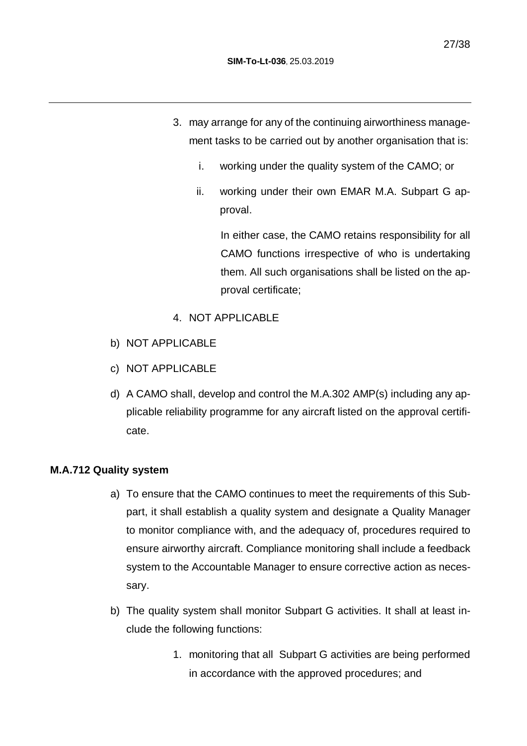- 3. may arrange for any of the continuing airworthiness management tasks to be carried out by another organisation that is:
	- i. working under the quality system of the CAMO; or
	- ii. working under their own EMAR M.A. Subpart G approval.

In either case, the CAMO retains responsibility for all CAMO functions irrespective of who is undertaking them. All such organisations shall be listed on the approval certificate;

- 4. NOT APPLICABLE
- b) NOT APPLICABLE
- c) NOT APPLICABLE
- d) A CAMO shall, develop and control the M.A.302 AMP(s) including any applicable reliability programme for any aircraft listed on the approval certificate.

#### **M.A.712 Quality system**

- a) To ensure that the CAMO continues to meet the requirements of this Subpart, it shall establish a quality system and designate a Quality Manager to monitor compliance with, and the adequacy of, procedures required to ensure airworthy aircraft. Compliance monitoring shall include a feedback system to the Accountable Manager to ensure corrective action as necessary.
- b) The quality system shall monitor Subpart G activities. It shall at least include the following functions:
	- 1. monitoring that all Subpart G activities are being performed in accordance with the approved procedures; and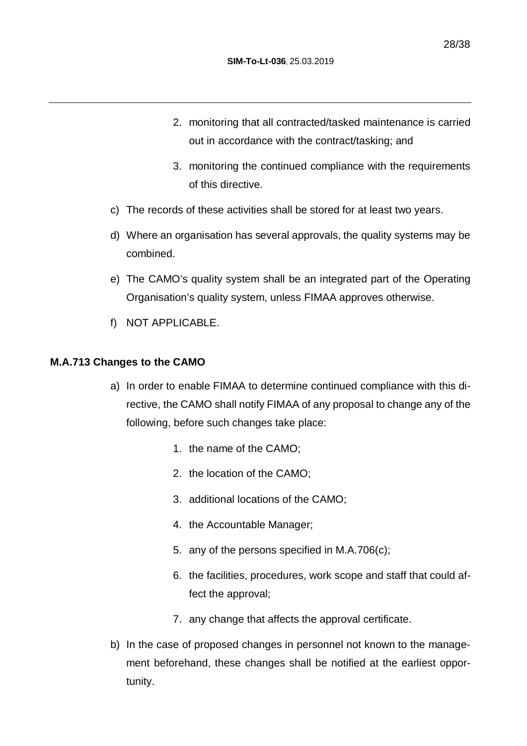- 2. monitoring that all contracted/tasked maintenance is carried out in accordance with the contract/tasking; and
- 3. monitoring the continued compliance with the requirements of this directive.
- c) The records of these activities shall be stored for at least two years.
- d) Where an organisation has several approvals, the quality systems may be combined.
- e) The CAMO's quality system shall be an integrated part of the Operating Organisation's quality system, unless FIMAA approves otherwise.
- f) NOT APPLICABLE.

#### **M.A.713 Changes to the CAMO**

- a) In order to enable FIMAA to determine continued compliance with this directive, the CAMO shall notify FIMAA of any proposal to change any of the following, before such changes take place:
	- 1. the name of the CAMO;
	- 2. the location of the CAMO;
	- 3. additional locations of the CAMO;
	- 4. the Accountable Manager;
	- 5. any of the persons specified in M.A.706(c);
	- 6. the facilities, procedures, work scope and staff that could affect the approval;
	- 7. any change that affects the approval certificate.
- b) In the case of proposed changes in personnel not known to the management beforehand, these changes shall be notified at the earliest opportunity.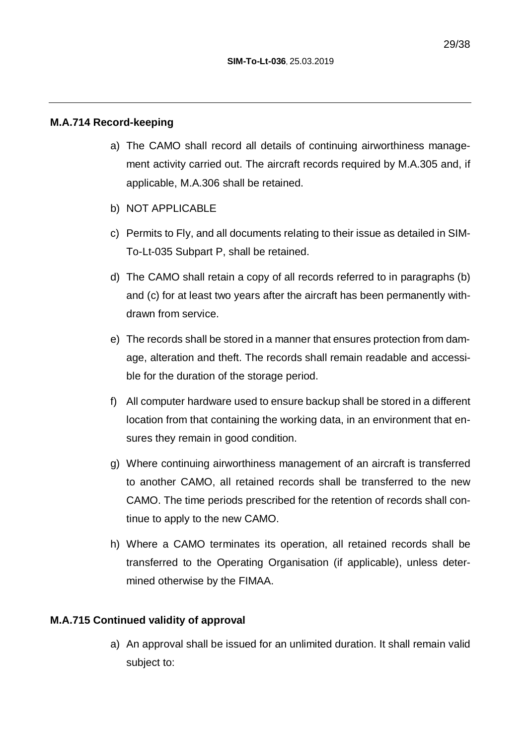#### **M.A.714 Record-keeping**

- a) The CAMO shall record all details of continuing airworthiness management activity carried out. The aircraft records required by M.A.305 and, if applicable, M.A.306 shall be retained.
- b) NOT APPLICABLE
- c) Permits to Fly, and all documents relating to their issue as detailed in SIM-To-Lt-035 Subpart P, shall be retained.
- d) The CAMO shall retain a copy of all records referred to in paragraphs (b) and (c) for at least two years after the aircraft has been permanently withdrawn from service.
- e) The records shall be stored in a manner that ensures protection from damage, alteration and theft. The records shall remain readable and accessible for the duration of the storage period.
- f) All computer hardware used to ensure backup shall be stored in a different location from that containing the working data, in an environment that ensures they remain in good condition.
- g) Where continuing airworthiness management of an aircraft is transferred to another CAMO, all retained records shall be transferred to the new CAMO. The time periods prescribed for the retention of records shall continue to apply to the new CAMO.
- h) Where a CAMO terminates its operation, all retained records shall be transferred to the Operating Organisation (if applicable), unless determined otherwise by the FIMAA.

#### **M.A.715 Continued validity of approval**

a) An approval shall be issued for an unlimited duration. It shall remain valid subject to: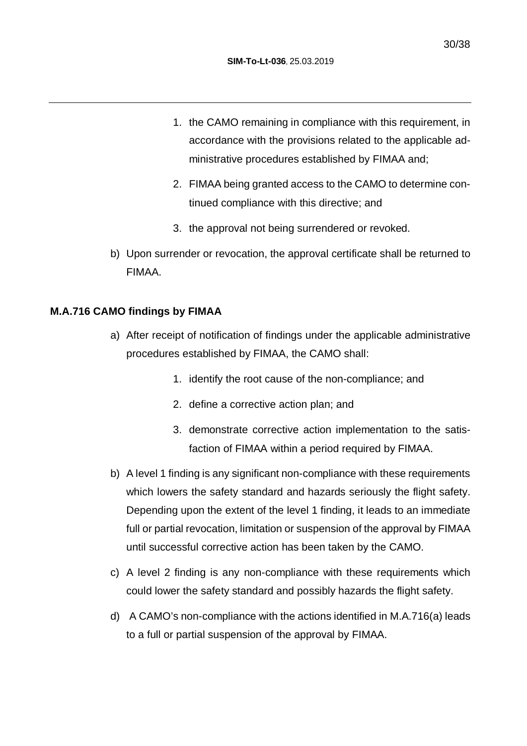- 1. the CAMO remaining in compliance with this requirement, in accordance with the provisions related to the applicable administrative procedures established by FIMAA and;
- 2. FIMAA being granted access to the CAMO to determine continued compliance with this directive; and
- 3. the approval not being surrendered or revoked.
- b) Upon surrender or revocation, the approval certificate shall be returned to FIMAA.

#### **M.A.716 CAMO findings by FIMAA**

- a) After receipt of notification of findings under the applicable administrative procedures established by FIMAA, the CAMO shall:
	- 1. identify the root cause of the non-compliance; and
	- 2. define a corrective action plan; and
	- 3. demonstrate corrective action implementation to the satisfaction of FIMAA within a period required by FIMAA.
- b) A level 1 finding is any significant non-compliance with these requirements which lowers the safety standard and hazards seriously the flight safety. Depending upon the extent of the level 1 finding, it leads to an immediate full or partial revocation, limitation or suspension of the approval by FIMAA until successful corrective action has been taken by the CAMO.
- c) A level 2 finding is any non-compliance with these requirements which could lower the safety standard and possibly hazards the flight safety.
- d) A CAMO's non-compliance with the actions identified in M.A.716(a) leads to a full or partial suspension of the approval by FIMAA.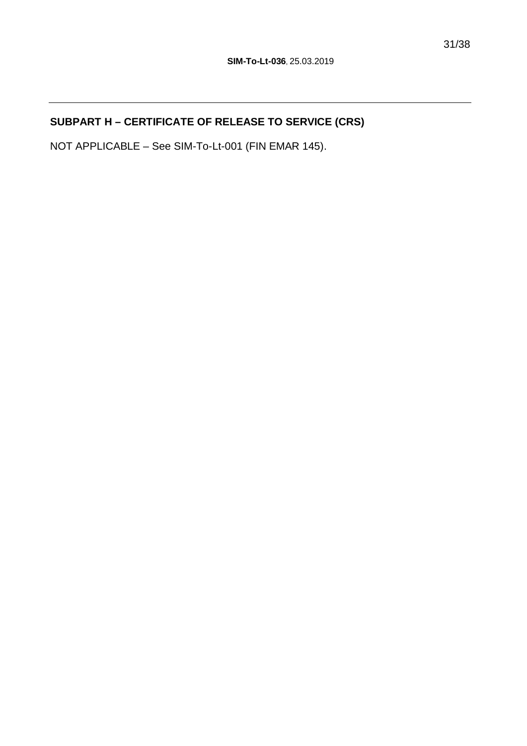## **SUBPART H – CERTIFICATE OF RELEASE TO SERVICE (CRS)**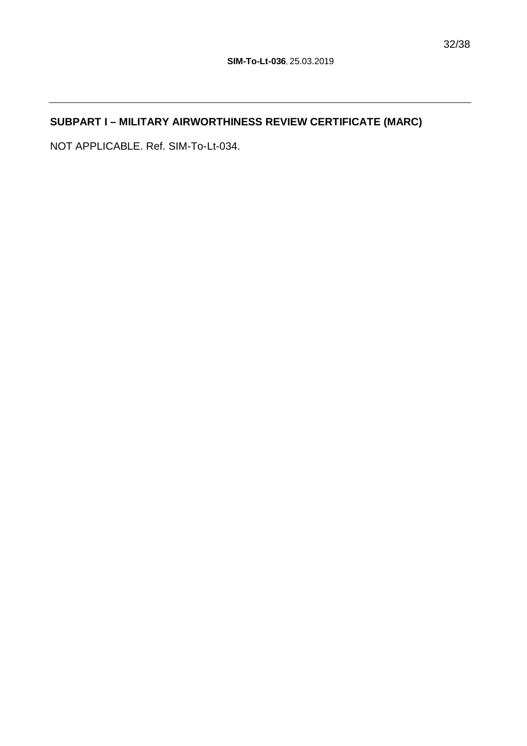## **SUBPART I – MILITARY AIRWORTHINESS REVIEW CERTIFICATE (MARC)**

NOT APPLICABLE. Ref. SIM-To-Lt-034.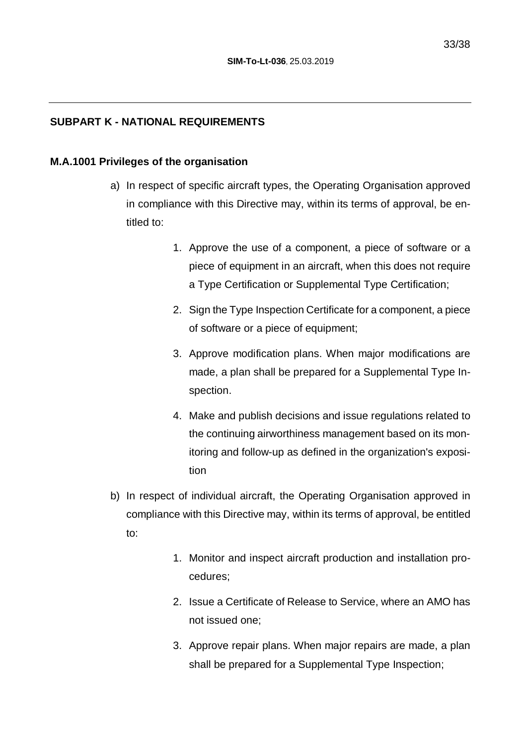#### **SUBPART K - NATIONAL REQUIREMENTS**

#### **M.A.1001 Privileges of the organisation**

- a) In respect of specific aircraft types, the Operating Organisation approved in compliance with this Directive may, within its terms of approval, be entitled to:
	- 1. Approve the use of a component, a piece of software or a piece of equipment in an aircraft, when this does not require a Type Certification or Supplemental Type Certification;
	- 2. Sign the Type Inspection Certificate for a component, a piece of software or a piece of equipment;
	- 3. Approve modification plans. When major modifications are made, a plan shall be prepared for a Supplemental Type Inspection.
	- 4. Make and publish decisions and issue regulations related to the continuing airworthiness management based on its monitoring and follow-up as defined in the organization's exposition
- b) In respect of individual aircraft, the Operating Organisation approved in compliance with this Directive may, within its terms of approval, be entitled to:
	- 1. Monitor and inspect aircraft production and installation procedures;
	- 2. Issue a Certificate of Release to Service, where an AMO has not issued one;
	- 3. Approve repair plans. When major repairs are made, a plan shall be prepared for a Supplemental Type Inspection;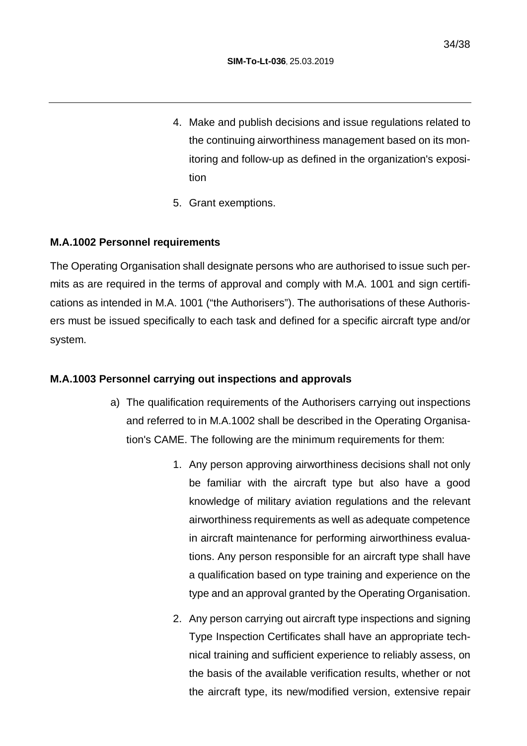- 4. Make and publish decisions and issue regulations related to the continuing airworthiness management based on its monitoring and follow-up as defined in the organization's exposition
- 5. Grant exemptions.

#### **M.A.1002 Personnel requirements**

The Operating Organisation shall designate persons who are authorised to issue such permits as are required in the terms of approval and comply with M.A. 1001 and sign certifications as intended in M.A. 1001 ("the Authorisers"). The authorisations of these Authorisers must be issued specifically to each task and defined for a specific aircraft type and/or system.

#### **M.A.1003 Personnel carrying out inspections and approvals**

- a) The qualification requirements of the Authorisers carrying out inspections and referred to in M.A.1002 shall be described in the Operating Organisation's CAME. The following are the minimum requirements for them:
	- 1. Any person approving airworthiness decisions shall not only be familiar with the aircraft type but also have a good knowledge of military aviation regulations and the relevant airworthiness requirements as well as adequate competence in aircraft maintenance for performing airworthiness evaluations. Any person responsible for an aircraft type shall have a qualification based on type training and experience on the type and an approval granted by the Operating Organisation.
	- 2. Any person carrying out aircraft type inspections and signing Type Inspection Certificates shall have an appropriate technical training and sufficient experience to reliably assess, on the basis of the available verification results, whether or not the aircraft type, its new/modified version, extensive repair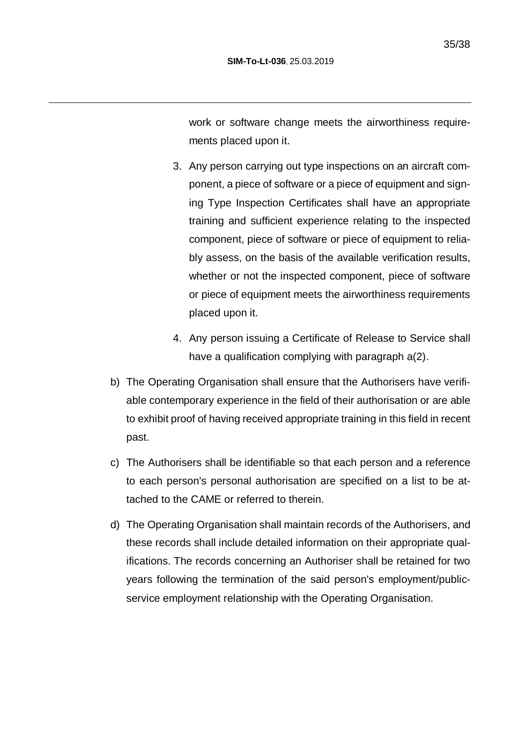work or software change meets the airworthiness requirements placed upon it.

- 3. Any person carrying out type inspections on an aircraft component, a piece of software or a piece of equipment and signing Type Inspection Certificates shall have an appropriate training and sufficient experience relating to the inspected component, piece of software or piece of equipment to reliably assess, on the basis of the available verification results, whether or not the inspected component, piece of software or piece of equipment meets the airworthiness requirements placed upon it.
- 4. Any person issuing a Certificate of Release to Service shall have a qualification complying with paragraph a(2).
- b) The Operating Organisation shall ensure that the Authorisers have verifiable contemporary experience in the field of their authorisation or are able to exhibit proof of having received appropriate training in this field in recent past.
- c) The Authorisers shall be identifiable so that each person and a reference to each person's personal authorisation are specified on a list to be attached to the CAME or referred to therein.
- d) The Operating Organisation shall maintain records of the Authorisers, and these records shall include detailed information on their appropriate qualifications. The records concerning an Authoriser shall be retained for two years following the termination of the said person's employment/publicservice employment relationship with the Operating Organisation.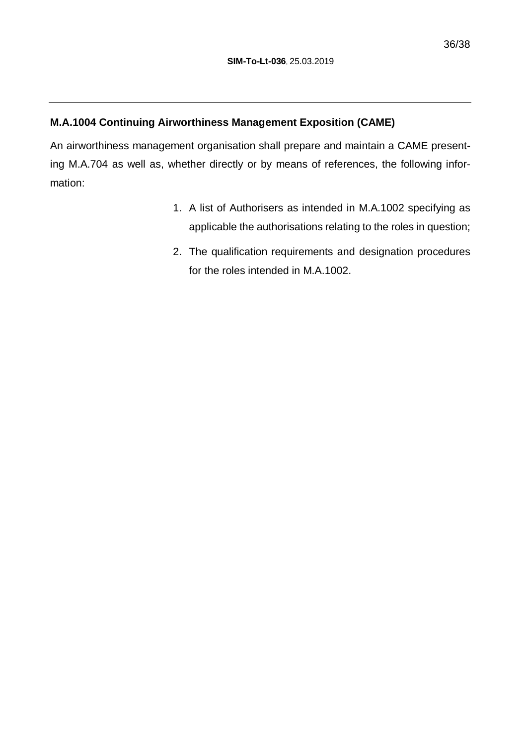## **M.A.1004 Continuing Airworthiness Management Exposition (CAME)**

An airworthiness management organisation shall prepare and maintain a CAME presenting M.A.704 as well as, whether directly or by means of references, the following information:

- 1. A list of Authorisers as intended in M.A.1002 specifying as applicable the authorisations relating to the roles in question;
- 2. The qualification requirements and designation procedures for the roles intended in M.A.1002.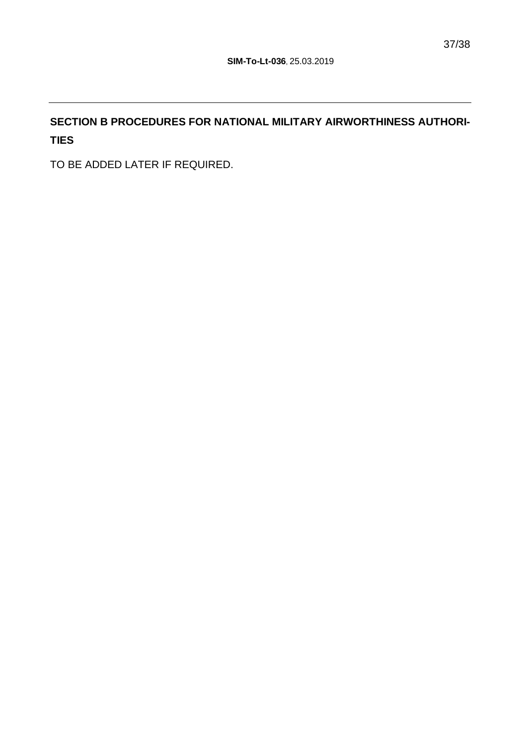# **SECTION B PROCEDURES FOR NATIONAL MILITARY AIRWORTHINESS AUTHORI-TIES**

TO BE ADDED LATER IF REQUIRED.